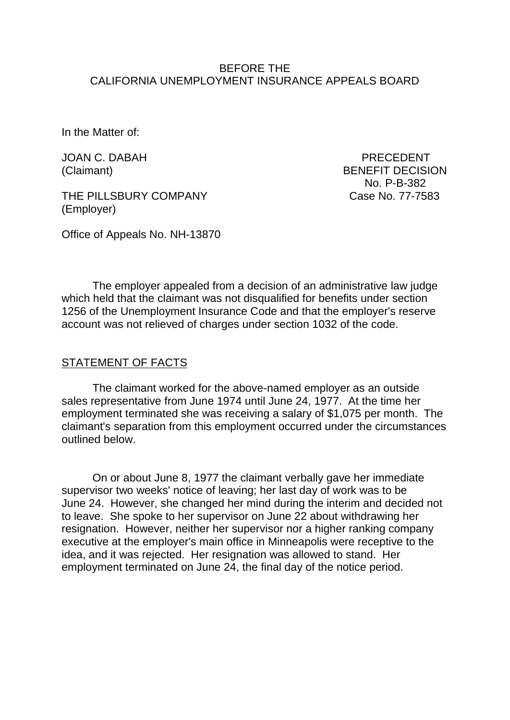### BEFORE THE CALIFORNIA UNEMPLOYMENT INSURANCE APPEALS BOARD

In the Matter of:

THE PILLSBURY COMPANY COMPANY CASE No. 77-7583 (Employer)

JOAN C. DABAH PRECEDENT (Claimant) BENEFIT DECISION No. P-B-382

Office of Appeals No. NH-13870

The employer appealed from a decision of an administrative law judge which held that the claimant was not disqualified for benefits under section 1256 of the Unemployment Insurance Code and that the employer's reserve account was not relieved of charges under section 1032 of the code.

### STATEMENT OF FACTS

The claimant worked for the above-named employer as an outside sales representative from June 1974 until June 24, 1977. At the time her employment terminated she was receiving a salary of \$1,075 per month. The claimant's separation from this employment occurred under the circumstances outlined below.

On or about June 8, 1977 the claimant verbally gave her immediate supervisor two weeks' notice of leaving; her last day of work was to be June 24. However, she changed her mind during the interim and decided not to leave. She spoke to her supervisor on June 22 about withdrawing her resignation. However, neither her supervisor nor a higher ranking company executive at the employer's main office in Minneapolis were receptive to the idea, and it was rejected. Her resignation was allowed to stand. Her employment terminated on June 24, the final day of the notice period.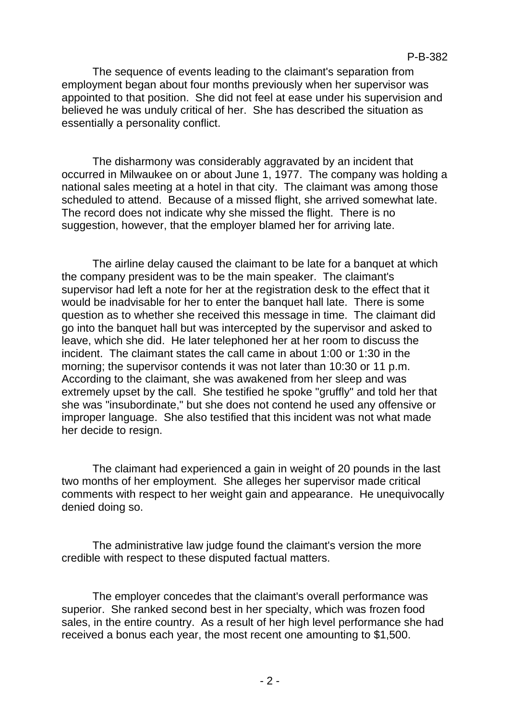The sequence of events leading to the claimant's separation from employment began about four months previously when her supervisor was appointed to that position. She did not feel at ease under his supervision and believed he was unduly critical of her. She has described the situation as essentially a personality conflict.

The disharmony was considerably aggravated by an incident that occurred in Milwaukee on or about June 1, 1977. The company was holding a national sales meeting at a hotel in that city. The claimant was among those scheduled to attend. Because of a missed flight, she arrived somewhat late. The record does not indicate why she missed the flight. There is no suggestion, however, that the employer blamed her for arriving late.

The airline delay caused the claimant to be late for a banquet at which the company president was to be the main speaker. The claimant's supervisor had left a note for her at the registration desk to the effect that it would be inadvisable for her to enter the banquet hall late. There is some question as to whether she received this message in time. The claimant did go into the banquet hall but was intercepted by the supervisor and asked to leave, which she did. He later telephoned her at her room to discuss the incident. The claimant states the call came in about 1:00 or 1:30 in the morning; the supervisor contends it was not later than 10:30 or 11 p.m. According to the claimant, she was awakened from her sleep and was extremely upset by the call. She testified he spoke "gruffly" and told her that she was "insubordinate," but she does not contend he used any offensive or improper language. She also testified that this incident was not what made her decide to resign.

The claimant had experienced a gain in weight of 20 pounds in the last two months of her employment. She alleges her supervisor made critical comments with respect to her weight gain and appearance. He unequivocally denied doing so.

The administrative law judge found the claimant's version the more credible with respect to these disputed factual matters.

The employer concedes that the claimant's overall performance was superior. She ranked second best in her specialty, which was frozen food sales, in the entire country. As a result of her high level performance she had received a bonus each year, the most recent one amounting to \$1,500.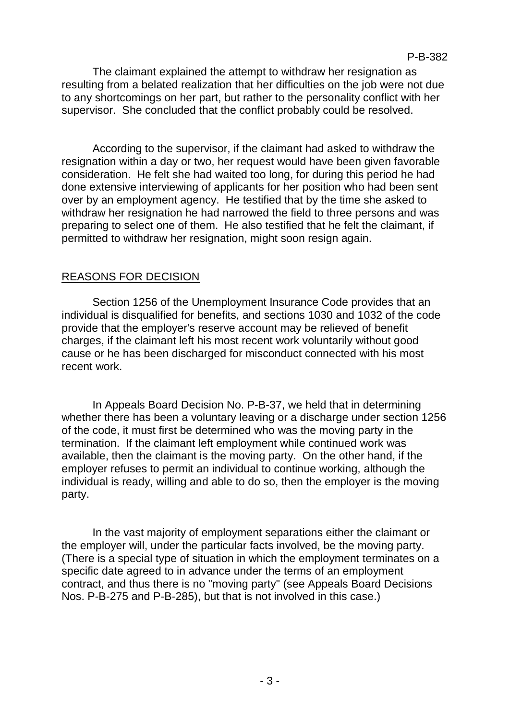The claimant explained the attempt to withdraw her resignation as resulting from a belated realization that her difficulties on the job were not due to any shortcomings on her part, but rather to the personality conflict with her supervisor. She concluded that the conflict probably could be resolved.

According to the supervisor, if the claimant had asked to withdraw the resignation within a day or two, her request would have been given favorable consideration. He felt she had waited too long, for during this period he had done extensive interviewing of applicants for her position who had been sent over by an employment agency. He testified that by the time she asked to withdraw her resignation he had narrowed the field to three persons and was preparing to select one of them. He also testified that he felt the claimant, if permitted to withdraw her resignation, might soon resign again.

# REASONS FOR DECISION

Section 1256 of the Unemployment Insurance Code provides that an individual is disqualified for benefits, and sections 1030 and 1032 of the code provide that the employer's reserve account may be relieved of benefit charges, if the claimant left his most recent work voluntarily without good cause or he has been discharged for misconduct connected with his most recent work.

In Appeals Board Decision No. P-B-37, we held that in determining whether there has been a voluntary leaving or a discharge under section 1256 of the code, it must first be determined who was the moving party in the termination. If the claimant left employment while continued work was available, then the claimant is the moving party. On the other hand, if the employer refuses to permit an individual to continue working, although the individual is ready, willing and able to do so, then the employer is the moving party.

In the vast majority of employment separations either the claimant or the employer will, under the particular facts involved, be the moving party. (There is a special type of situation in which the employment terminates on a specific date agreed to in advance under the terms of an employment contract, and thus there is no "moving party" (see Appeals Board Decisions Nos. P-B-275 and P-B-285), but that is not involved in this case.)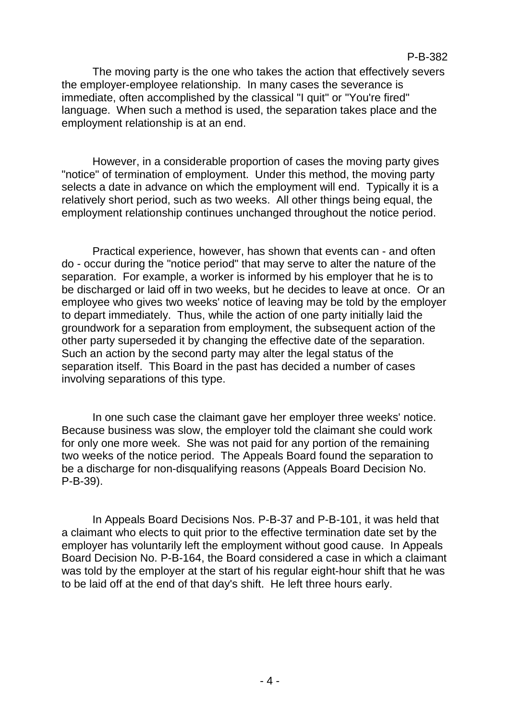The moving party is the one who takes the action that effectively severs the employer-employee relationship. In many cases the severance is immediate, often accomplished by the classical "I quit" or "You're fired" language. When such a method is used, the separation takes place and the employment relationship is at an end.

However, in a considerable proportion of cases the moving party gives "notice" of termination of employment. Under this method, the moving party selects a date in advance on which the employment will end. Typically it is a relatively short period, such as two weeks. All other things being equal, the employment relationship continues unchanged throughout the notice period.

Practical experience, however, has shown that events can - and often do - occur during the "notice period" that may serve to alter the nature of the separation. For example, a worker is informed by his employer that he is to be discharged or laid off in two weeks, but he decides to leave at once. Or an employee who gives two weeks' notice of leaving may be told by the employer to depart immediately. Thus, while the action of one party initially laid the groundwork for a separation from employment, the subsequent action of the other party superseded it by changing the effective date of the separation. Such an action by the second party may alter the legal status of the separation itself. This Board in the past has decided a number of cases involving separations of this type.

In one such case the claimant gave her employer three weeks' notice. Because business was slow, the employer told the claimant she could work for only one more week. She was not paid for any portion of the remaining two weeks of the notice period. The Appeals Board found the separation to be a discharge for non-disqualifying reasons (Appeals Board Decision No. P-B-39).

In Appeals Board Decisions Nos. P-B-37 and P-B-101, it was held that a claimant who elects to quit prior to the effective termination date set by the employer has voluntarily left the employment without good cause. In Appeals Board Decision No. P-B-164, the Board considered a case in which a claimant was told by the employer at the start of his regular eight-hour shift that he was to be laid off at the end of that day's shift. He left three hours early.

#### P-B-382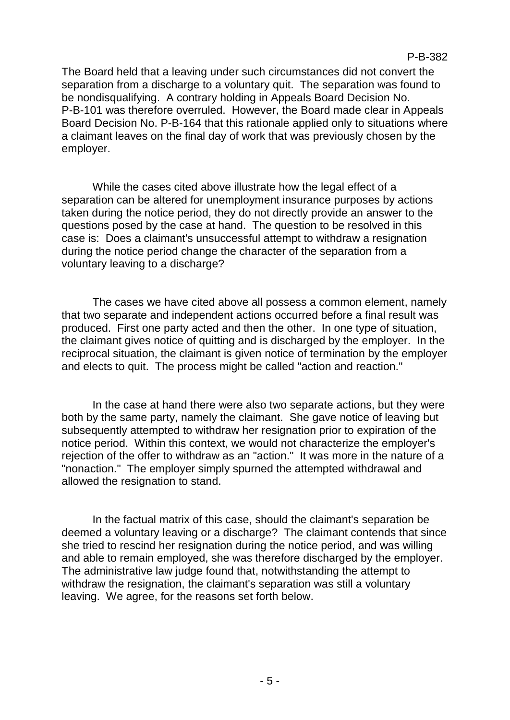The Board held that a leaving under such circumstances did not convert the separation from a discharge to a voluntary quit. The separation was found to be nondisqualifying. A contrary holding in Appeals Board Decision No. P-B-101 was therefore overruled. However, the Board made clear in Appeals Board Decision No. P-B-164 that this rationale applied only to situations where a claimant leaves on the final day of work that was previously chosen by the employer.

While the cases cited above illustrate how the legal effect of a separation can be altered for unemployment insurance purposes by actions taken during the notice period, they do not directly provide an answer to the questions posed by the case at hand. The question to be resolved in this case is: Does a claimant's unsuccessful attempt to withdraw a resignation during the notice period change the character of the separation from a voluntary leaving to a discharge?

The cases we have cited above all possess a common element, namely that two separate and independent actions occurred before a final result was produced. First one party acted and then the other. In one type of situation, the claimant gives notice of quitting and is discharged by the employer. In the reciprocal situation, the claimant is given notice of termination by the employer and elects to quit. The process might be called "action and reaction."

In the case at hand there were also two separate actions, but they were both by the same party, namely the claimant. She gave notice of leaving but subsequently attempted to withdraw her resignation prior to expiration of the notice period. Within this context, we would not characterize the employer's rejection of the offer to withdraw as an "action." It was more in the nature of a "nonaction." The employer simply spurned the attempted withdrawal and allowed the resignation to stand.

In the factual matrix of this case, should the claimant's separation be deemed a voluntary leaving or a discharge? The claimant contends that since she tried to rescind her resignation during the notice period, and was willing and able to remain employed, she was therefore discharged by the employer. The administrative law judge found that, notwithstanding the attempt to withdraw the resignation, the claimant's separation was still a voluntary leaving. We agree, for the reasons set forth below.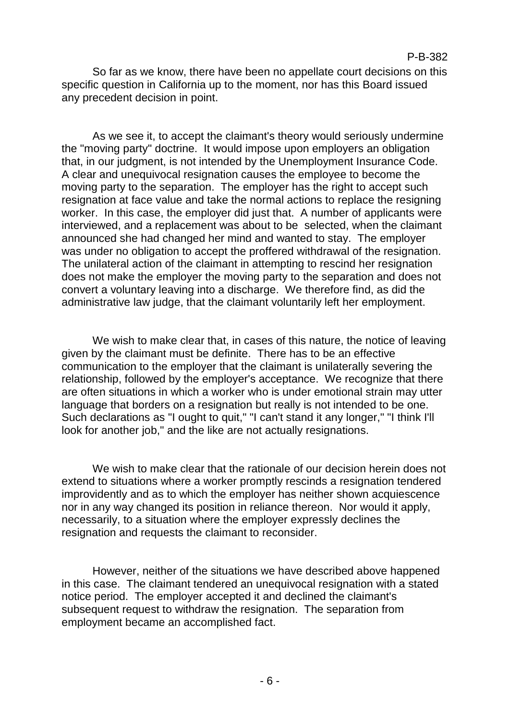### P-B-382

So far as we know, there have been no appellate court decisions on this specific question in California up to the moment, nor has this Board issued any precedent decision in point.

As we see it, to accept the claimant's theory would seriously undermine the "moving party" doctrine. It would impose upon employers an obligation that, in our judgment, is not intended by the Unemployment Insurance Code. A clear and unequivocal resignation causes the employee to become the moving party to the separation. The employer has the right to accept such resignation at face value and take the normal actions to replace the resigning worker. In this case, the employer did just that. A number of applicants were interviewed, and a replacement was about to be selected, when the claimant announced she had changed her mind and wanted to stay. The employer was under no obligation to accept the proffered withdrawal of the resignation. The unilateral action of the claimant in attempting to rescind her resignation does not make the employer the moving party to the separation and does not convert a voluntary leaving into a discharge. We therefore find, as did the administrative law judge, that the claimant voluntarily left her employment.

We wish to make clear that, in cases of this nature, the notice of leaving given by the claimant must be definite. There has to be an effective communication to the employer that the claimant is unilaterally severing the relationship, followed by the employer's acceptance. We recognize that there are often situations in which a worker who is under emotional strain may utter language that borders on a resignation but really is not intended to be one. Such declarations as "I ought to quit," "I can't stand it any longer," "I think I'll look for another job," and the like are not actually resignations.

We wish to make clear that the rationale of our decision herein does not extend to situations where a worker promptly rescinds a resignation tendered improvidently and as to which the employer has neither shown acquiescence nor in any way changed its position in reliance thereon. Nor would it apply, necessarily, to a situation where the employer expressly declines the resignation and requests the claimant to reconsider.

However, neither of the situations we have described above happened in this case. The claimant tendered an unequivocal resignation with a stated notice period. The employer accepted it and declined the claimant's subsequent request to withdraw the resignation. The separation from employment became an accomplished fact.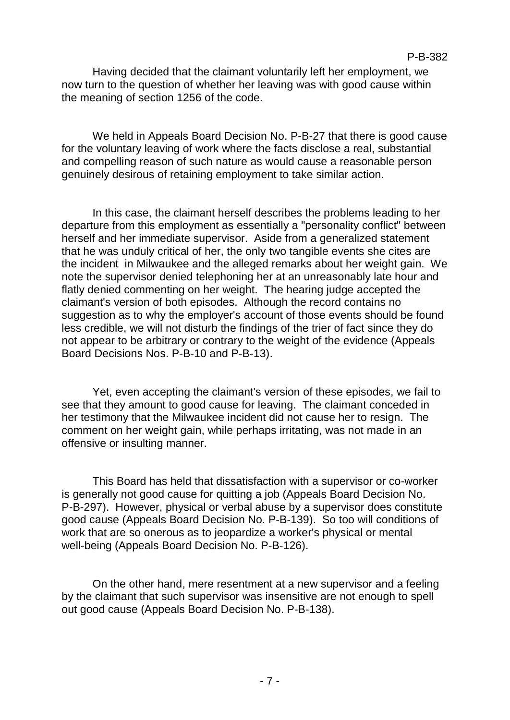Having decided that the claimant voluntarily left her employment, we now turn to the question of whether her leaving was with good cause within the meaning of section 1256 of the code.

We held in Appeals Board Decision No. P-B-27 that there is good cause for the voluntary leaving of work where the facts disclose a real, substantial and compelling reason of such nature as would cause a reasonable person genuinely desirous of retaining employment to take similar action.

In this case, the claimant herself describes the problems leading to her departure from this employment as essentially a "personality conflict" between herself and her immediate supervisor. Aside from a generalized statement that he was unduly critical of her, the only two tangible events she cites are the incident in Milwaukee and the alleged remarks about her weight gain. We note the supervisor denied telephoning her at an unreasonably late hour and flatly denied commenting on her weight. The hearing judge accepted the claimant's version of both episodes. Although the record contains no suggestion as to why the employer's account of those events should be found less credible, we will not disturb the findings of the trier of fact since they do not appear to be arbitrary or contrary to the weight of the evidence (Appeals Board Decisions Nos. P-B-10 and P-B-13).

Yet, even accepting the claimant's version of these episodes, we fail to see that they amount to good cause for leaving. The claimant conceded in her testimony that the Milwaukee incident did not cause her to resign. The comment on her weight gain, while perhaps irritating, was not made in an offensive or insulting manner.

This Board has held that dissatisfaction with a supervisor or co-worker is generally not good cause for quitting a job (Appeals Board Decision No. P-B-297). However, physical or verbal abuse by a supervisor does constitute good cause (Appeals Board Decision No. P-B-139). So too will conditions of work that are so onerous as to jeopardize a worker's physical or mental well-being (Appeals Board Decision No. P-B-126).

On the other hand, mere resentment at a new supervisor and a feeling by the claimant that such supervisor was insensitive are not enough to spell out good cause (Appeals Board Decision No. P-B-138).